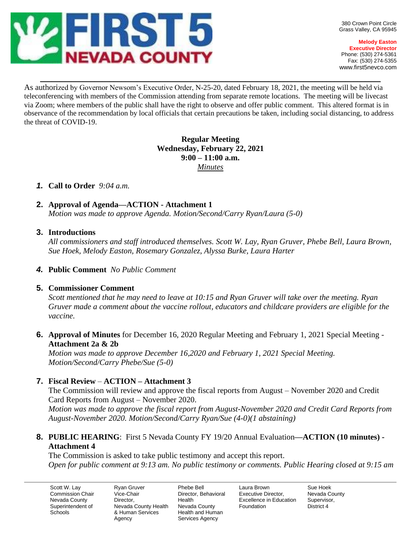

**Melody Easton Executive Director** Phone: (530) 274-5361 Fax: (530) 274-5355 www.first5nevco.com

As authorized by Governor Newsom's Executive Order, N-25-20, dated February 18, 2021, the meeting will be held via teleconferencing with members of the Commission attending from separate remote locations. The meeting will be livecast via Zoom; where members of the public shall have the right to observe and offer public comment. This altered format is in observance of the recommendation by local officials that certain precautions be taken, including social distancing, to address the threat of COVID-19.

 $\_$  , and the set of the set of the set of the set of the set of the set of the set of the set of the set of the set of the set of the set of the set of the set of the set of the set of the set of the set of the set of th

# **Regular Meeting Wednesday, February 22, 2021 9:00 – 11:00 a.m.** *Minutes*

# *1.* **Call to Order** *9:04 a.m.*

**2. Approval of Agenda—ACTION - Attachment 1**

*Motion was made to approve Agenda. Motion/Second/Carry Ryan/Laura (5-0)*

**3. Introductions**

*All commissioners and staff introduced themselves. Scott W. Lay, Ryan Gruver, Phebe Bell, Laura Brown, Sue Hoek, Melody Easton, Rosemary Gonzalez, Alyssa Burke, Laura Harter*

*4.* **Public Comment** *No Public Comment*

# **5. Commissioner Comment**

*Scott mentioned that he may need to leave at 10:15 and Ryan Gruver will take over the meeting. Ryan Gruver made a comment about the vaccine rollout, educators and childcare providers are eligible for the vaccine.* 

**6. Approval of Minutes** for December 16, 2020 Regular Meeting and February 1, 2021 Special Meeting - **Attachment 2a & 2b**

*Motion was made to approve December 16,2020 and February 1, 2021 Special Meeting. Motion/Second/Carry Phebe/Sue (5-0)*

# **7. Fiscal Review** – **ACTION – Attachment 3**

The Commission will review and approve the fiscal reports from August – November 2020 and Credit Card Reports from August – November 2020.

*Motion was made to approve the fiscal report from August-November 2020 and Credit Card Reports from August-November 2020. Motion/Second/Carry Ryan/Sue (4-0)(1 abstaining)* 

# **8. PUBLIC HEARING**: First 5 Nevada County FY 19/20 Annual Evaluation**—ACTION (10 minutes) - Attachment 4**

The Commission is asked to take public testimony and accept this report. *Open for public comment at 9:13 am. No public testimony or comments. Public Hearing closed at 9:15 am*

Scott W. Lay Commission Chair Nevada County Superintendent of **Schools** 

Ryan Gruver Vice-Chair Director, Nevada County Health & Human Services Agency

Phebe Bell Director, Behavioral Health Nevada County Health and Human Services Agency

Laura Brown Executive Director, Excellence in Education Foundation

Sue Hoek Nevada County Supervisor, District 4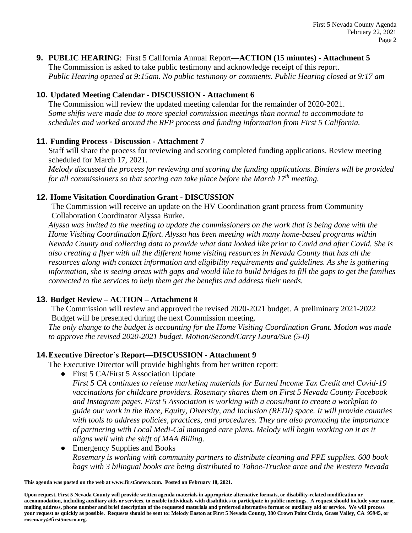### **9. PUBLIC HEARING**: First 5 California Annual Report**—ACTION (15 minutes) - Attachment 5**

The Commission is asked to take public testimony and acknowledge receipt of this report. *Public Hearing opened at 9:15am. No public testimony or comments. Public Hearing closed at 9:17 am*

### **10. Updated Meeting Calendar - DISCUSSION - Attachment 6**

The Commission will review the updated meeting calendar for the remainder of 2020-2021. *Some shifts were made due to more special commission meetings than normal to accommodate to schedules and worked around the RFP process and funding information from First 5 California.* 

#### **11. Funding Process - Discussion - Attachment 7**

Staff will share the process for reviewing and scoring completed funding applications. Review meeting scheduled for March 17, 2021.

*Melody discussed the process for reviewing and scoring the funding applications. Binders will be provided for all commissioners so that scoring can take place before the March 17th meeting.*

#### **12. Home Visitation Coordination Grant - DISCUSSION**

The Commission will receive an update on the HV Coordination grant process from Community Collaboration Coordinator Alyssa Burke.

*Alyssa was invited to the meeting to update the commissioners on the work that is being done with the Home Visiting Coordination Effort. Alyssa has been meeting with many home-based programs within Nevada County and collecting data to provide what data looked like prior to Covid and after Covid. She is also creating a flyer with all the different home visiting resources in Nevada County that has all the resources along with contact information and eligibility requirements and guidelines. As she is gathering information, she is seeing areas with gaps and would like to build bridges to fill the gaps to get the families connected to the services to help them get the benefits and address their needs.* 

# **13. Budget Review – ACTION – Attachment 8**

The Commission will review and approved the revised 2020-2021 budget. A preliminary 2021-2022 Budget will be presented during the next Commission meeting.

*The only change to the budget is accounting for the Home Visiting Coordination Grant. Motion was made to approve the revised 2020-2021 budget. Motion/Second/Carry Laura/Sue (5-0)*

# **14.Executive Director's Report—DISCUSSION - Attachment 9**

The Executive Director will provide highlights from her written report:

● First 5 CA/First 5 Association Update

*First 5 CA continues to release marketing materials for Earned Income Tax Credit and Covid-19 vaccinations for childcare providers. Rosemary shares them on First 5 Nevada County Facebook and Instagram pages. First 5 Association is working with a consultant to create a workplan to guide our work in the Race, Equity, Diversity, and Inclusion (REDI) space. It will provide counties with tools to address policies, practices, and procedures. They are also promoting the importance of partnering with Local Medi-Cal managed care plans. Melody will begin working on it as it aligns well with the shift of MAA Billing.* 

• Emergency Supplies and Books *Rosemary is working with community partners to distribute cleaning and PPE supplies. 600 book bags with 3 bilingual books are being distributed to Tahoe-Truckee arae and the Western Nevada* 

**This agenda was posted on the web at www.first5nevco.com. Posted on February 18, 2021.**

**Upon request, First 5 Nevada County will provide written agenda materials in appropriate alternative formats, or disability-related modification or accommodation, including auxiliary aids or services, to enable individuals with disabilities to participate in public meetings. A request should include your name, mailing address, phone number and brief description of the requested materials and preferred alternative format or auxiliary aid or service. We will process your request as quickly as possible. Requests should be sent to: Melody Easton at First 5 Nevada County, 380 Crown Point Circle, Grass Valley, CA 95945, or rosemary@first5nevco.org.**